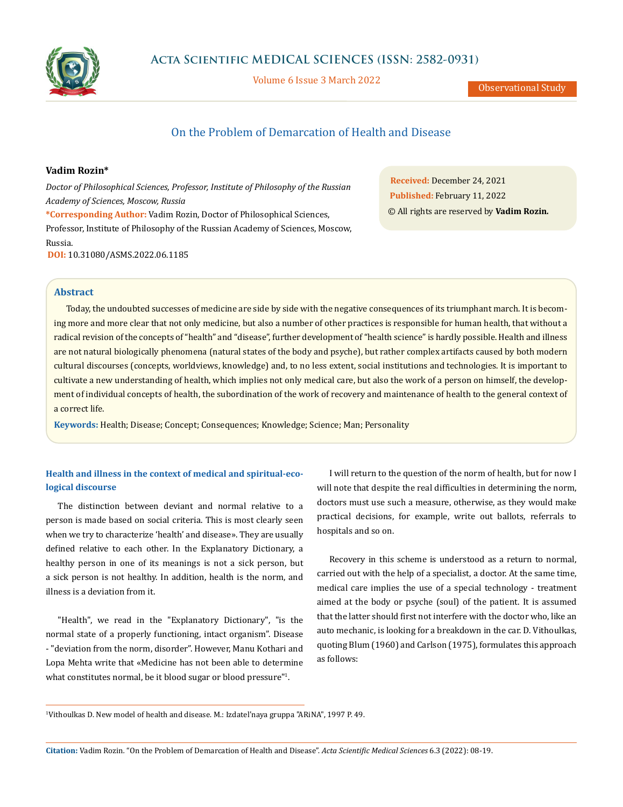

Volume 6 Issue 3 March 2022

Observational Study

# On the Problem of Demarcation of Health and Disease

## **Vadim Rozin\***

*Doctor of Philosophical Sciences, Professor, Institute of Philosophy of the Russian Academy of Sciences, Moscow, Russia*

**\*Corresponding Author:** Vadim Rozin, Doctor of Philosophical Sciences, Professor, Institute of Philosophy of the Russian Academy of Sciences, Moscow, Russia.

**DOI:** [10.31080/ASMS.2022.06.1185](https://actascientific.com/ASMS/pdf/ASMS-06-1185.pdf)

**Received:** December 24, 2021 **Published:** February 11, 2022 © All rights are reserved by **Vadim Rozin***.*

## **Abstract**

Today, the undoubted successes of medicine are side by side with the negative consequences of its triumphant march. It is becoming more and more clear that not only medicine, but also a number of other practices is responsible for human health, that without a radical revision of the concepts of "health" and "disease", further development of "health science" is hardly possible. Health and illness are not natural biologically phenomena (natural states of the body and psyche), but rather complex artifacts caused by both modern cultural discourses (concepts, worldviews, knowledge) and, to no less extent, social institutions and technologies. It is important to cultivate a new understanding of health, which implies not only medical care, but also the work of a person on himself, the development of individual concepts of health, the subordination of the work of recovery and maintenance of health to the general context of a correct life.

**Keywords:** Health; Disease; Concept; Consequences; Knowledge; Science; Man; Personality

## **Health and illness in the context of medical and spiritual-ecological discourse**

The distinction between deviant and normal relative to a person is made based on social criteria. This is most clearly seen when we try to characterize 'health' and disease». They are usually defined relative to each other. In the Explanatory Dictionary, a healthy person in one of its meanings is not a sick person, but a sick person is not healthy. In addition, health is the norm, and illness is a deviation from it.

"Health", we read in the "Explanatory Dictionary", "is the normal state of a properly functioning, intact organism". Disease - "deviation from the norm, disorder". However, Manu Kothari and Lopa Mehta write that «Medicine has not been able to determine what constitutes normal, be it blood sugar or blood pressure"1 .

I will return to the question of the norm of health, but for now I will note that despite the real difficulties in determining the norm, doctors must use such a measure, otherwise, as they would make practical decisions, for example, write out ballots, referrals to hospitals and so on.

Recovery in this scheme is understood as a return to normal, carried out with the help of a specialist, a doctor. At the same time, medical care implies the use of a special technology - treatment aimed at the body or psyche (soul) of the patient. It is assumed that the latter should first not interfere with the doctor who, like an auto mechanic, is looking for a breakdown in the car. D. Vithoulkas, quoting Blum (1960) and Carlson (1975), formulates this approach as follows:

1 Vithoulkas D. New model of health and disease. M.: Izdatel'naya gruppa "ARiNA", 1997 P. 49.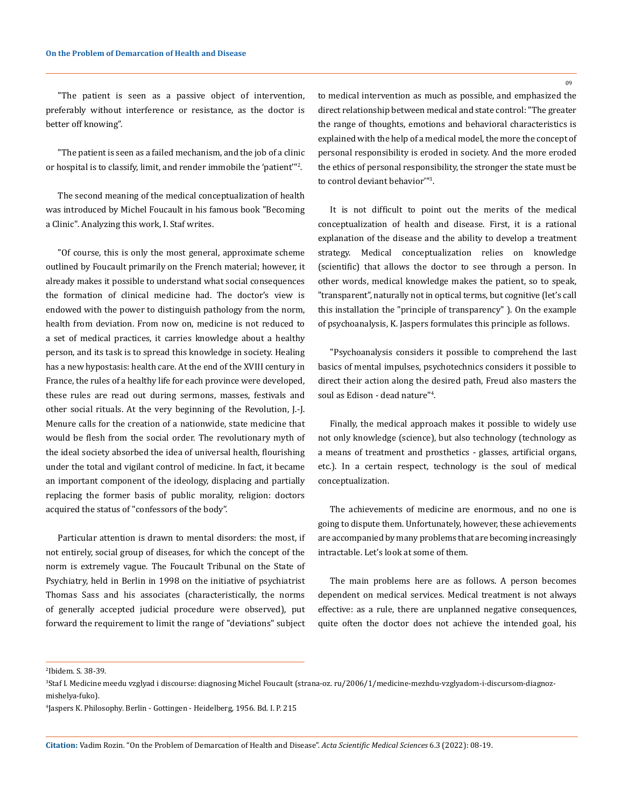"The patient is seen as a passive object of intervention, preferably without interference or resistance, as the doctor is better off knowing".

"The patient is seen as a failed mechanism, and the job of a clinic or hospital is to classify, limit, and render immobile the 'patient'"<sup>2</sup> .

The second meaning of the medical conceptualization of health was introduced by Michel Foucault in his famous book "Becoming a Clinic". Analyzing this work, I. Staf writes.

"Of course, this is only the most general, approximate scheme outlined by Foucault primarily on the French material; however, it already makes it possible to understand what social consequences the formation of clinical medicine had. The doctor's view is endowed with the power to distinguish pathology from the norm, health from deviation. From now on, medicine is not reduced to a set of medical practices, it carries knowledge about a healthy person, and its task is to spread this knowledge in society. Healing has a new hypostasis: health care. At the end of the XVIII century in France, the rules of a healthy life for each province were developed, these rules are read out during sermons, masses, festivals and other social rituals. At the very beginning of the Revolution, J.-J. Menure calls for the creation of a nationwide, state medicine that would be flesh from the social order. The revolutionary myth of the ideal society absorbed the idea of universal health, flourishing under the total and vigilant control of medicine. In fact, it became an important component of the ideology, displacing and partially replacing the former basis of public morality, religion: doctors acquired the status of "confessors of the body".

Particular attention is drawn to mental disorders: the most, if not entirely, social group of diseases, for which the concept of the norm is extremely vague. The Foucault Tribunal on the State of Psychiatry, held in Berlin in 1998 on the initiative of psychiatrist Thomas Sass and his associates (characteristically, the norms of generally accepted judicial procedure were observed), put forward the requirement to limit the range of "deviations" subject to medical intervention as much as possible, and emphasized the direct relationship between medical and state control: "The greater the range of thoughts, emotions and behavioral characteristics is explained with the help of a medical model, the more the concept of personal responsibility is eroded in society. And the more eroded the ethics of personal responsibility, the stronger the state must be to control deviant behavior'"3 .

It is not difficult to point out the merits of the medical conceptualization of health and disease. First, it is a rational explanation of the disease and the ability to develop a treatment strategy. Medical conceptualization relies on knowledge (scientific) that allows the doctor to see through a person. In other words, medical knowledge makes the patient, so to speak, "transparent", naturally not in optical terms, but cognitive (let's call this installation the "principle of transparency" ). On the example of psychoanalysis, K. Jaspers formulates this principle as follows.

"Psychoanalysis considers it possible to comprehend the last basics of mental impulses, psychotechnics considers it possible to direct their action along the desired path, Freud also masters the soul as Edison - dead nature"4 .

Finally, the medical approach makes it possible to widely use not only knowledge (science), but also technology (technology as a means of treatment and prosthetics - glasses, artificial organs, etc.). In a certain respect, technology is the soul of medical conceptualization.

The achievements of medicine are enormous, and no one is going to dispute them. Unfortunately, however, these achievements are accompanied by many problems that are becoming increasingly intractable. Let's look at some of them.

The main problems here are as follows. A person becomes dependent on medical services. Medical treatment is not always effective: as a rule, there are unplanned negative consequences, quite often the doctor does not achieve the intended goal, his

4 Jaspers K. Philosophy. Berlin - Gottingen - Heidelberg, 1956. Bd. I. Р. 215

**Citation:** Vadim Rozin*.* "On the Problem of Demarcation of Health and Disease". *Acta Scientific Medical Sciences* 6.3 (2022): 08-19.

09

<sup>2</sup> Ibidem. S. 38-39.

<sup>3</sup> Staf I. Medicine meedu vzglyad i discourse: diagnosing Michel Foucault (strana-oz. ru/2006/1/medicine-mezhdu-vzglyadom-i-discursom-diagnozmishelya-fuko).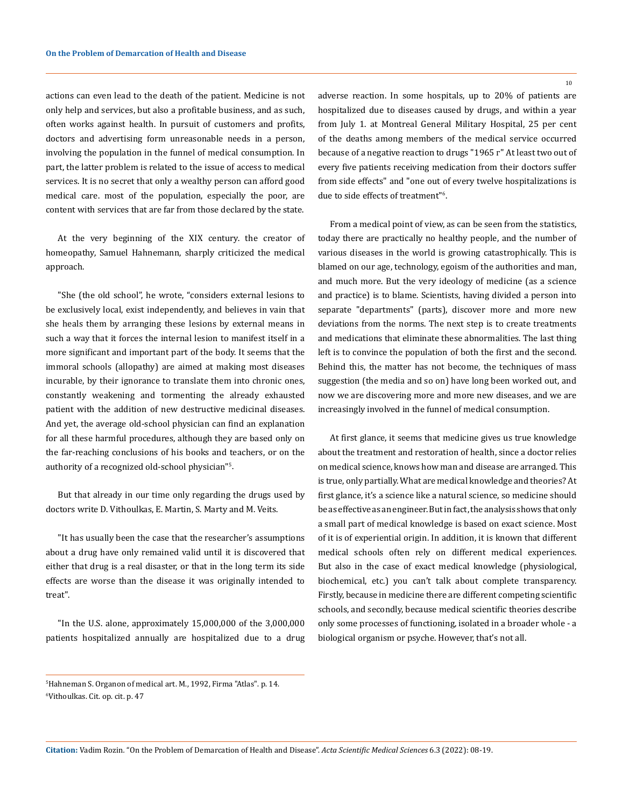actions can even lead to the death of the patient. Medicine is not only help and services, but also a profitable business, and as such, often works against health. In pursuit of customers and profits, doctors and advertising form unreasonable needs in a person, involving the population in the funnel of medical consumption. In part, the latter problem is related to the issue of access to medical services. It is no secret that only a wealthy person can afford good medical care. most of the population, especially the poor, are content with services that are far from those declared by the state.

At the very beginning of the XIX century. the creator of homeopathy, Samuel Hahnemann, sharply criticized the medical approach.

"She (the old school", he wrote, "considers external lesions to be exclusively local, exist independently, and believes in vain that she heals them by arranging these lesions by external means in such a way that it forces the internal lesion to manifest itself in a more significant and important part of the body. It seems that the immoral schools (allopathy) are aimed at making most diseases incurable, by their ignorance to translate them into chronic ones, constantly weakening and tormenting the already exhausted patient with the addition of new destructive medicinal diseases. And yet, the average old-school physician can find an explanation for all these harmful procedures, although they are based only on the far-reaching conclusions of his books and teachers, or on the authority of a recognized old-school physician"<sup>s</sup>.

But that already in our time only regarding the drugs used by doctors write D. Vithoulkas, E. Martin, S. Marty and M. Veits.

"It has usually been the case that the researcher's assumptions about a drug have only remained valid until it is discovered that either that drug is a real disaster, or that in the long term its side effects are worse than the disease it was originally intended to treat".

"In the U.S. alone, approximately 15,000,000 of the 3,000,000 patients hospitalized annually are hospitalized due to a drug adverse reaction. In some hospitals, up to 20% of patients are hospitalized due to diseases caused by drugs, and within a year from July 1. at Montreal General Military Hospital, 25 per cent of the deaths among members of the medical service occurred because of a negative reaction to drugs "1965 г" At least two out of every five patients receiving medication from their doctors suffer from side effects" and "one out of every twelve hospitalizations is due to side effects of treatment"6 .

From a medical point of view, as can be seen from the statistics, today there are practically no healthy people, and the number of various diseases in the world is growing catastrophically. This is blamed on our age, technology, egoism of the authorities and man, and much more. But the very ideology of medicine (as a science and practice) is to blame. Scientists, having divided a person into separate "departments" (parts), discover more and more new deviations from the norms. The next step is to create treatments and medications that eliminate these abnormalities. The last thing left is to convince the population of both the first and the second. Behind this, the matter has not become, the techniques of mass suggestion (the media and so on) have long been worked out, and now we are discovering more and more new diseases, and we are increasingly involved in the funnel of medical consumption.

At first glance, it seems that medicine gives us true knowledge about the treatment and restoration of health, since a doctor relies on medical science, knows how man and disease are arranged. This is true, only partially. What are medical knowledge and theories? At first glance, it's a science like a natural science, so medicine should be as effective as an engineer. But in fact, the analysis shows that only a small part of medical knowledge is based on exact science. Most of it is of experiential origin. In addition, it is known that different medical schools often rely on different medical experiences. But also in the case of exact medical knowledge (physiological, biochemical, etc.) you can't talk about complete transparency. Firstly, because in medicine there are different competing scientific schools, and secondly, because medical scientific theories describe only some processes of functioning, isolated in a broader whole - a biological organism or psyche. However, that's not all.

**Citation:** Vadim Rozin*.* "On the Problem of Demarcation of Health and Disease". *Acta Scientific Medical Sciences* 6.3 (2022): 08-19.

<sup>5</sup> Hahneman S. Organon of medical art. M., 1992, Firma "Atlas". p. 14. 6 Vithoulkas. Cit. op. cit. p. 47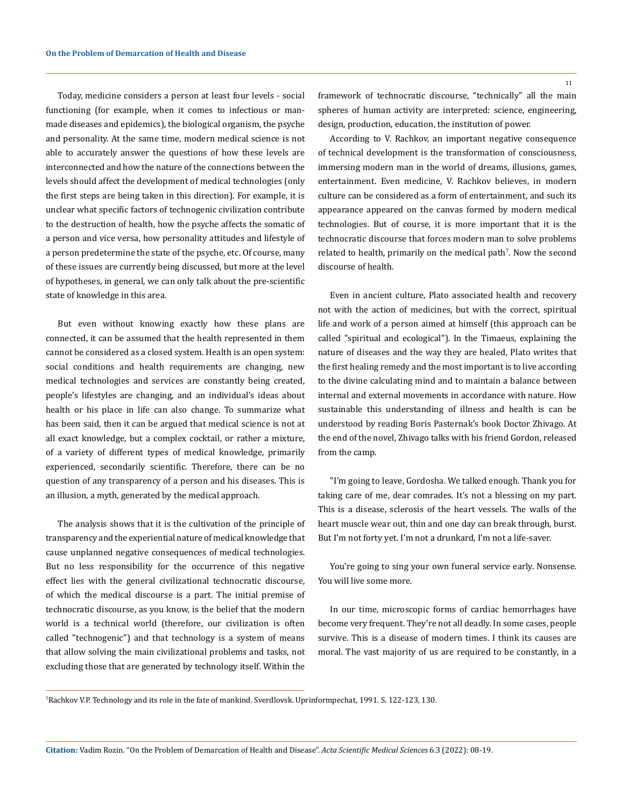Today, medicine considers a person at least four levels - social functioning (for example, when it comes to infectious or manmade diseases and epidemics), the biological organism, the psyche and personality. At the same time, modern medical science is not able to accurately answer the questions of how these levels are interconnected and how the nature of the connections between the levels should affect the development of medical technologies (only the first steps are being taken in this direction). For example, it is unclear what specific factors of technogenic civilization contribute to the destruction of health, how the psyche affects the somatic of a person and vice versa, how personality attitudes and lifestyle of a person predetermine the state of the psyche, etc. Of course, many of these issues are currently being discussed, but more at the level of hypotheses, in general, we can only talk about the pre-scientific state of knowledge in this area.

But even without knowing exactly how these plans are connected, it can be assumed that the health represented in them cannot be considered as a closed system. Health is an open system: social conditions and health requirements are changing, new medical technologies and services are constantly being created, people's lifestyles are changing, and an individual's ideas about health or his place in life can also change. To summarize what has been said, then it can be argued that medical science is not at all exact knowledge, but a complex cocktail, or rather a mixture, of a variety of different types of medical knowledge, primarily experienced, secondarily scientific. Therefore, there can be no question of any transparency of a person and his diseases. This is an illusion, a myth, generated by the medical approach.

The analysis shows that it is the cultivation of the principle of transparency and the experiential nature of medical knowledge that cause unplanned negative consequences of medical technologies. But no less responsibility for the occurrence of this negative effect lies with the general civilizational technocratic discourse, of which the medical discourse is a part. The initial premise of technocratic discourse, as you know, is the belief that the modern world is a technical world (therefore, our civilization is often called "technogenic") and that technology is a system of means that allow solving the main civilizational problems and tasks, not excluding those that are generated by technology itself. Within the

framework of technocratic discourse, "technically" all the main spheres of human activity are interpreted: science, engineering, design, production, education, the institution of power.

According to V. Rachkov, an important negative consequence of technical development is the transformation of consciousness, immersing modern man in the world of dreams, illusions, games, entertainment. Even medicine, V. Rachkov believes, in modern culture can be considered as a form of entertainment, and such its appearance appeared on the canvas formed by modern medical technologies. But of course, it is more important that it is the technocratic discourse that forces modern man to solve problems related to health, primarily on the medical path<sup>7</sup>. Now the second discourse of health.

Even in ancient culture, Plato associated health and recovery not with the action of medicines, but with the correct, spiritual life and work of a person aimed at himself (this approach can be called "spiritual and ecological"). In the Timaeus, explaining the nature of diseases and the way they are healed, Plato writes that the first healing remedy and the most important is to live according to the divine calculating mind and to maintain a balance between internal and external movements in accordance with nature. How sustainable this understanding of illness and health is can be understood by reading Boris Pasternak's book Doctor Zhivago. At the end of the novel, Zhivago talks with his friend Gordon, released from the camp.

"I'm going to leave, Gordosha. We talked enough. Thank you for taking care of me, dear comrades. It's not a blessing on my part. This is a disease, sclerosis of the heart vessels. The walls of the heart muscle wear out, thin and one day can break through, burst. But I'm not forty yet. I'm not a drunkard, I'm not a life-saver.

You're going to sing your own funeral service early. Nonsense. You will live some more.

In our time, microscopic forms of cardiac hemorrhages have become very frequent. They're not all deadly. In some cases, people survive. This is a disease of modern times. I think its causes are moral. The vast majority of us are required to be constantly, in a

<sup>7</sup> Rachkov V.P. Technology and its role in the fate of mankind. Sverdlovsk. Uprinformpechat, 1991. S. 122-123, 130.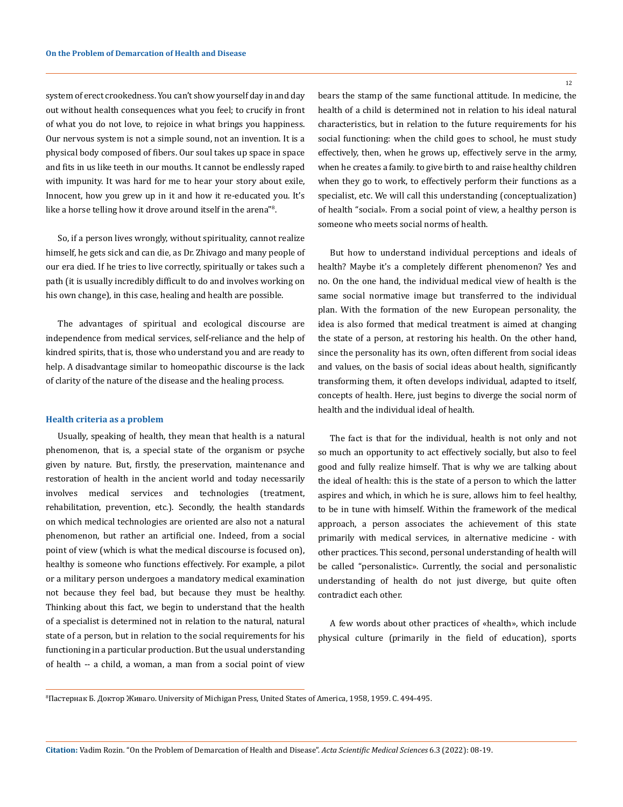system of erect crookedness. You can't show yourself day in and day out without health consequences what you feel; to crucify in front of what you do not love, to rejoice in what brings you happiness. Our nervous system is not a simple sound, not an invention. It is a physical body composed of fibers. Our soul takes up space in space and fits in us like teeth in our mouths. It cannot be endlessly raped with impunity. It was hard for me to hear your story about exile, Innocent, how you grew up in it and how it re-educated you. It's like a horse telling how it drove around itself in the arena"<sup>8</sup> .

So, if a person lives wrongly, without spirituality, cannot realize himself, he gets sick and can die, as Dr. Zhivago and many people of our era died. If he tries to live correctly, spiritually or takes such a path (it is usually incredibly difficult to do and involves working on his own change), in this case, healing and health are possible.

The advantages of spiritual and ecological discourse are independence from medical services, self-reliance and the help of kindred spirits, that is, those who understand you and are ready to help. A disadvantage similar to homeopathic discourse is the lack of clarity of the nature of the disease and the healing process.

#### **Health criteria as a problem**

Usually, speaking of health, they mean that health is a natural phenomenon, that is, a special state of the organism or psyche given by nature. But, firstly, the preservation, maintenance and restoration of health in the ancient world and today necessarily involves medical services and technologies (treatment, rehabilitation, prevention, etc.). Secondly, the health standards on which medical technologies are oriented are also not a natural phenomenon, but rather an artificial one. Indeed, from a social point of view (which is what the medical discourse is focused on), healthy is someone who functions effectively. For example, a pilot or a military person undergoes a mandatory medical examination not because they feel bad, but because they must be healthy. Thinking about this fact, we begin to understand that the health of a specialist is determined not in relation to the natural, natural state of a person, but in relation to the social requirements for his functioning in a particular production. But the usual understanding of health -- a child, a woman, a man from a social point of view

12

bears the stamp of the same functional attitude. In medicine, the health of a child is determined not in relation to his ideal natural characteristics, but in relation to the future requirements for his social functioning: when the child goes to school, he must study effectively, then, when he grows up, effectively serve in the army, when he creates a family. to give birth to and raise healthy children when they go to work, to effectively perform their functions as a specialist, etc. We will call this understanding (conceptualization) of health "social». From a social point of view, a healthy person is someone who meets social norms of health.

But how to understand individual perceptions and ideals of health? Maybe it's a completely different phenomenon? Yes and no. On the one hand, the individual medical view of health is the same social normative image but transferred to the individual plan. With the formation of the new European personality, the idea is also formed that medical treatment is aimed at changing the state of a person, at restoring his health. On the other hand, since the personality has its own, often different from social ideas and values, on the basis of social ideas about health, significantly transforming them, it often develops individual, adapted to itself, concepts of health. Here, just begins to diverge the social norm of health and the individual ideal of health.

The fact is that for the individual, health is not only and not so much an opportunity to act effectively socially, but also to feel good and fully realize himself. That is why we are talking about the ideal of health: this is the state of a person to which the latter aspires and which, in which he is sure, allows him to feel healthy, to be in tune with himself. Within the framework of the medical approach, a person associates the achievement of this state primarily with medical services, in alternative medicine - with other practices. This second, personal understanding of health will be called "personalistic». Currently, the social and personalistic understanding of health do not just diverge, but quite often contradict each other.

A few words about other practices of «health», which include physical culture (primarily in the field of education), sports

<sup>8</sup> Пастернак Б. Доктор Живаго. University of Michigan Press, United States of America, 1958, 1959. С. 494-495.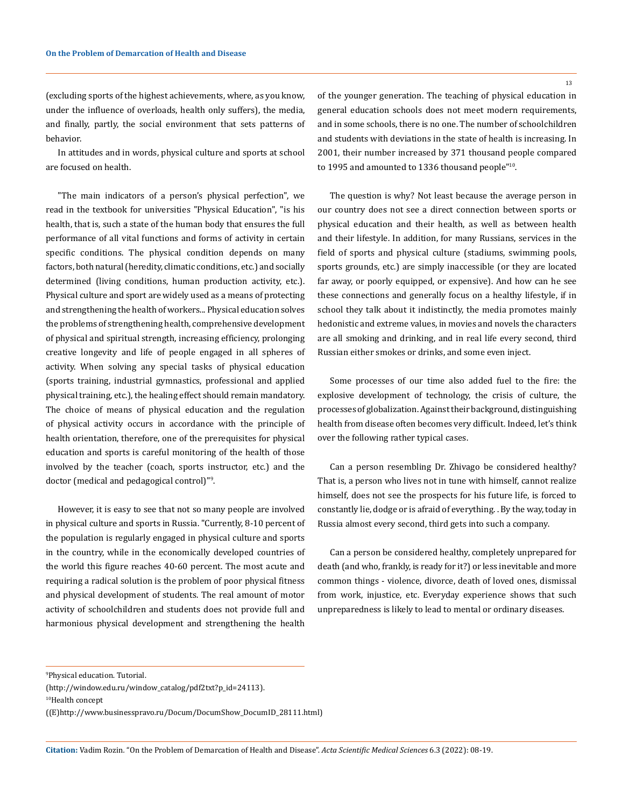(excluding sports of the highest achievements, where, as you know, under the influence of overloads, health only suffers), the media, and finally, partly, the social environment that sets patterns of behavior.

In attitudes and in words, physical culture and sports at school are focused on health.

"The main indicators of a person's physical perfection", we read in the textbook for universities "Physical Education", "is his health, that is, such a state of the human body that ensures the full performance of all vital functions and forms of activity in certain specific conditions. The physical condition depends on many factors, both natural (heredity, climatic conditions, etc.) and socially determined (living conditions, human production activity, etc.). Physical culture and sport are widely used as a means of protecting and strengthening the health of workers... Physical education solves the problems of strengthening health, comprehensive development of physical and spiritual strength, increasing efficiency, prolonging creative longevity and life of people engaged in all spheres of activity. When solving any special tasks of physical education (sports training, industrial gymnastics, professional and applied physical training, etc.), the healing effect should remain mandatory. The choice of means of physical education and the regulation of physical activity occurs in accordance with the principle of health orientation, therefore, one of the prerequisites for physical education and sports is careful monitoring of the health of those involved by the teacher (coach, sports instructor, etc.) and the doctor (medical and pedagogical control)"<sup>9</sup> .

However, it is easy to see that not so many people are involved in physical culture and sports in Russia. "Currently, 8-10 percent of the population is regularly engaged in physical culture and sports in the country, while in the economically developed countries of the world this figure reaches 40-60 percent. The most acute and requiring a radical solution is the problem of poor physical fitness and physical development of students. The real amount of motor activity of schoolchildren and students does not provide full and harmonious physical development and strengthening the health

of the younger generation. The teaching of physical education in general education schools does not meet modern requirements, and in some schools, there is no one. The number of schoolchildren and students with deviations in the state of health is increasing. In 2001, their number increased by 371 thousand people compared to 1995 and amounted to 1336 thousand people"10.

The question is why? Not least because the average person in our country does not see a direct connection between sports or physical education and their health, as well as between health and their lifestyle. In addition, for many Russians, services in the field of sports and physical culture (stadiums, swimming pools, sports grounds, etc.) are simply inaccessible (or they are located far away, or poorly equipped, or expensive). And how can he see these connections and generally focus on a healthy lifestyle, if in school they talk about it indistinctly, the media promotes mainly hedonistic and extreme values, in movies and novels the characters are all smoking and drinking, and in real life every second, third Russian either smokes or drinks, and some even inject.

Some processes of our time also added fuel to the fire: the explosive development of technology, the crisis of culture, the processes of globalization. Against their background, distinguishing health from disease often becomes very difficult. Indeed, let's think over the following rather typical cases.

Can a person resembling Dr. Zhivago be considered healthy? That is, a person who lives not in tune with himself, cannot realize himself, does not see the prospects for his future life, is forced to constantly lie, dodge or is afraid of everything. . By the way, today in Russia almost every second, third gets into such a company.

Can a person be considered healthy, completely unprepared for death (and who, frankly, is ready for it?) or less inevitable and more common things - violence, divorce, death of loved ones, dismissal from work, injustice, etc. Everyday experience shows that such unpreparedness is likely to lead to mental or ordinary diseases.

**Citation:** Vadim Rozin*.* "On the Problem of Demarcation of Health and Disease". *Acta Scientific Medical Sciences* 6.3 (2022): 08-19.

<sup>9</sup> Physical education. Tutorial.

<sup>(</sup>http://window.edu.ru/window\_catalog/pdf2txt?p\_id=24113).

<sup>10</sup>Health concept

<sup>((</sup>E)http://www.businesspravo.ru/Docum/DocumShow\_DocumID\_28111.html)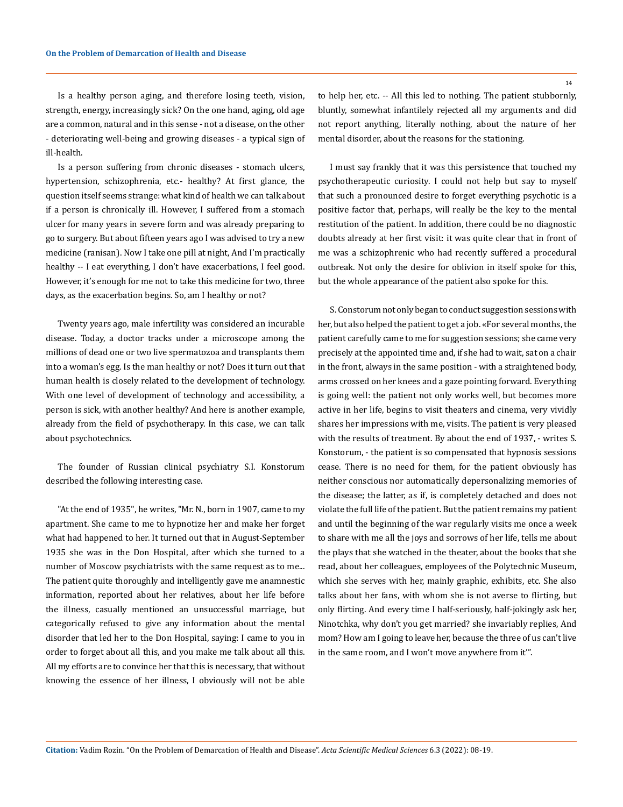Is a healthy person aging, and therefore losing teeth, vision, strength, energy, increasingly sick? On the one hand, aging, old age are a common, natural and in this sense - not a disease, on the other - deteriorating well-being and growing diseases - a typical sign of ill-health.

Is a person suffering from chronic diseases - stomach ulcers, hypertension, schizophrenia, etc.- healthy? At first glance, the question itself seems strange: what kind of health we can talk about if a person is chronically ill. However, I suffered from a stomach ulcer for many years in severe form and was already preparing to go to surgery. But about fifteen years ago I was advised to try a new medicine (ranisan). Now I take one pill at night, And I'm practically healthy -- I eat everything, I don't have exacerbations, I feel good. However, it's enough for me not to take this medicine for two, three days, as the exacerbation begins. So, am I healthy or not?

Twenty years ago, male infertility was considered an incurable disease. Today, a doctor tracks under a microscope among the millions of dead one or two live spermatozoa and transplants them into a woman's egg. Is the man healthy or not? Does it turn out that human health is closely related to the development of technology. With one level of development of technology and accessibility, a person is sick, with another healthy? And here is another example, already from the field of psychotherapy. In this case, we can talk about psychotechnics.

The founder of Russian clinical psychiatry S.I. Konstorum described the following interesting case.

"At the end of 1935", he writes, "Mr. N., born in 1907, came to my apartment. She came to me to hypnotize her and make her forget what had happened to her. It turned out that in August-September 1935 she was in the Don Hospital, after which she turned to a number of Moscow psychiatrists with the same request as to me... The patient quite thoroughly and intelligently gave me anamnestic information, reported about her relatives, about her life before the illness, casually mentioned an unsuccessful marriage, but categorically refused to give any information about the mental disorder that led her to the Don Hospital, saying: I came to you in order to forget about all this, and you make me talk about all this. All my efforts are to convince her that this is necessary, that without knowing the essence of her illness, I obviously will not be able

to help her, etc. -- All this led to nothing. The patient stubbornly, bluntly, somewhat infantilely rejected all my arguments and did not report anything, literally nothing, about the nature of her mental disorder, about the reasons for the stationing.

I must say frankly that it was this persistence that touched my psychotherapeutic curiosity. I could not help but say to myself that such a pronounced desire to forget everything psychotic is a positive factor that, perhaps, will really be the key to the mental restitution of the patient. In addition, there could be no diagnostic doubts already at her first visit: it was quite clear that in front of me was a schizophrenic who had recently suffered a procedural outbreak. Not only the desire for oblivion in itself spoke for this, but the whole appearance of the patient also spoke for this.

S. Constorum not only began to conduct suggestion sessions with her, but also helped the patient to get a job. «For several months, the patient carefully came to me for suggestion sessions; she came very precisely at the appointed time and, if she had to wait, sat on a chair in the front, always in the same position - with a straightened body, arms crossed on her knees and a gaze pointing forward. Everything is going well: the patient not only works well, but becomes more active in her life, begins to visit theaters and cinema, very vividly shares her impressions with me, visits. The patient is very pleased with the results of treatment. By about the end of 1937, - writes S. Konstorum, - the patient is so compensated that hypnosis sessions cease. There is no need for them, for the patient obviously has neither conscious nor automatically depersonalizing memories of the disease; the latter, as if, is completely detached and does not violate the full life of the patient. But the patient remains my patient and until the beginning of the war regularly visits me once a week to share with me all the joys and sorrows of her life, tells me about the plays that she watched in the theater, about the books that she read, about her colleagues, employees of the Polytechnic Museum, which she serves with her, mainly graphic, exhibits, etc. She also talks about her fans, with whom she is not averse to flirting, but only flirting. And every time I half-seriously, half-jokingly ask her, Ninotchka, why don't you get married? she invariably replies, And mom? How am I going to leave her, because the three of us can't live in the same room, and I won't move anywhere from it'".

**Citation:** Vadim Rozin*.* "On the Problem of Demarcation of Health and Disease". *Acta Scientific Medical Sciences* 6.3 (2022): 08-19.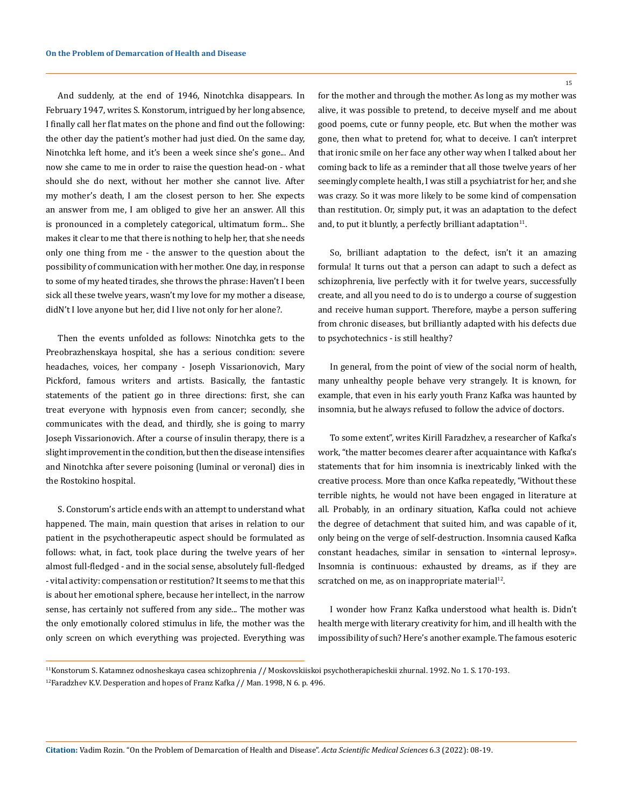And suddenly, at the end of 1946, Ninotchka disappears. In February 1947, writes S. Konstorum, intrigued by her long absence, I finally call her flat mates on the phone and find out the following: the other day the patient's mother had just died. On the same day, Ninotchka left home, and it's been a week since she's gone... And now she came to me in order to raise the question head-on - what should she do next, without her mother she cannot live. After my mother's death, I am the closest person to her. She expects an answer from me, I am obliged to give her an answer. All this is pronounced in a completely categorical, ultimatum form... She makes it clear to me that there is nothing to help her, that she needs only one thing from me - the answer to the question about the possibility of communication with her mother. One day, in response to some of my heated tirades, she throws the phrase: Haven't I been sick all these twelve years, wasn't my love for my mother a disease, didN't I love anyone but her, did I live not only for her alone?.

Then the events unfolded as follows: Ninotchka gets to the Preobrazhenskaya hospital, she has a serious condition: severe headaches, voices, her company - Joseph Vissarionovich, Mary Pickford, famous writers and artists. Basically, the fantastic statements of the patient go in three directions: first, she can treat everyone with hypnosis even from cancer; secondly, she communicates with the dead, and thirdly, she is going to marry Joseph Vissarionovich. After a course of insulin therapy, there is a slight improvement in the condition, but then the disease intensifies and Ninotchka after severe poisoning (luminal or veronal) dies in the Rostokino hospital.

S. Constorum's article ends with an attempt to understand what happened. The main, main question that arises in relation to our patient in the psychotherapeutic aspect should be formulated as follows: what, in fact, took place during the twelve years of her almost full-fledged - and in the social sense, absolutely full-fledged - vital activity: compensation or restitution? It seems to me that this is about her emotional sphere, because her intellect, in the narrow sense, has certainly not suffered from any side... The mother was the only emotionally colored stimulus in life, the mother was the only screen on which everything was projected. Everything was

for the mother and through the mother. As long as my mother was alive, it was possible to pretend, to deceive myself and me about good poems, cute or funny people, etc. But when the mother was gone, then what to pretend for, what to deceive. I can't interpret that ironic smile on her face any other way when I talked about her coming back to life as a reminder that all those twelve years of her seemingly complete health, I was still a psychiatrist for her, and she was crazy. So it was more likely to be some kind of compensation than restitution. Or, simply put, it was an adaptation to the defect and, to put it bluntly, a perfectly brilliant adaptation $11$ .

So, brilliant adaptation to the defect, isn't it an amazing formula! It turns out that a person can adapt to such a defect as schizophrenia, live perfectly with it for twelve years, successfully create, and all you need to do is to undergo a course of suggestion and receive human support. Therefore, maybe a person suffering from chronic diseases, but brilliantly adapted with his defects due to psychotechnics - is still healthy?

In general, from the point of view of the social norm of health, many unhealthy people behave very strangely. It is known, for example, that even in his early youth Franz Kafka was haunted by insomnia, but he always refused to follow the advice of doctors.

To some extent", writes Kirill Faradzhev, a researcher of Kafka's work, "the matter becomes clearer after acquaintance with Kafka's statements that for him insomnia is inextricably linked with the creative process. More than once Kafka repeatedly, "Without these terrible nights, he would not have been engaged in literature at all. Probably, in an ordinary situation, Kafka could not achieve the degree of detachment that suited him, and was capable of it, only being on the verge of self-destruction. Insomnia caused Kafka constant headaches, similar in sensation to «internal leprosy». Insomnia is continuous: exhausted by dreams, as if they are scratched on me, as on inappropriate material<sup>12</sup>.

I wonder how Franz Kafka understood what health is. Didn't health merge with literary creativity for him, and ill health with the impossibility of such? Here's another example. The famous esoteric

15

<sup>11</sup>Konstorum S. Katamnez odnosheskaya casea schizophrenia // Moskovskiiskoi psychotherapicheskii zhurnal. 1992. No 1. S. 170-193. <sup>12</sup>Faradzhev K.V. Desperation and hopes of Franz Kafka // Man. 1998, N 6. p. 496.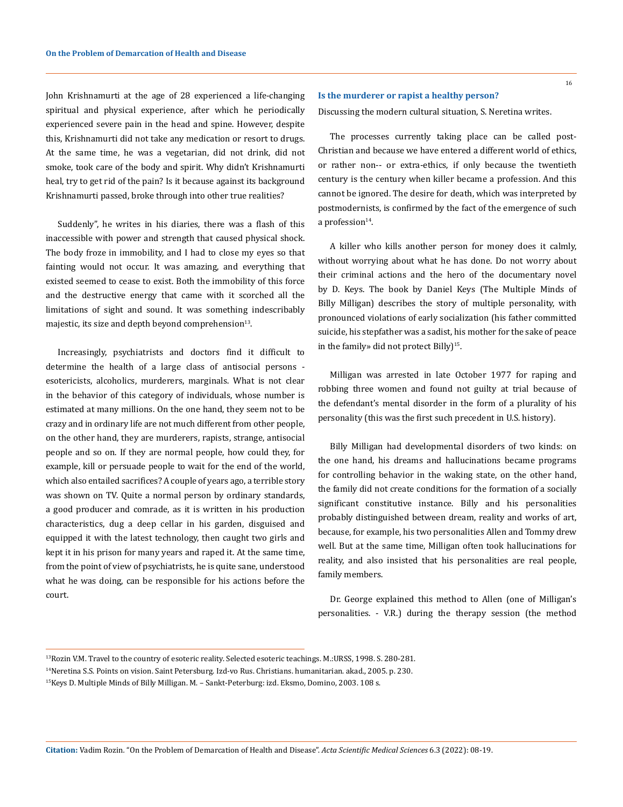John Krishnamurti at the age of 28 experienced a life-changing spiritual and physical experience, after which he periodically experienced severe pain in the head and spine. However, despite this, Krishnamurti did not take any medication or resort to drugs. At the same time, he was a vegetarian, did not drink, did not smoke, took care of the body and spirit. Why didn't Krishnamurti heal, try to get rid of the pain? Is it because against its background Krishnamurti passed, broke through into other true realities?

Suddenly", he writes in his diaries, there was a flash of this inaccessible with power and strength that caused physical shock. The body froze in immobility, and I had to close my eyes so that fainting would not occur. It was amazing, and everything that existed seemed to cease to exist. Both the immobility of this force and the destructive energy that came with it scorched all the limitations of sight and sound. It was something indescribably majestic, its size and depth beyond comprehension<sup>13</sup>.

Increasingly, psychiatrists and doctors find it difficult to determine the health of a large class of antisocial persons esotericists, alcoholics, murderers, marginals. What is not clear in the behavior of this category of individuals, whose number is estimated at many millions. On the one hand, they seem not to be crazy and in ordinary life are not much different from other people, on the other hand, they are murderers, rapists, strange, antisocial people and so on. If they are normal people, how could they, for example, kill or persuade people to wait for the end of the world, which also entailed sacrifices? A couple of years ago, a terrible story was shown on TV. Quite a normal person by ordinary standards, a good producer and comrade, as it is written in his production characteristics, dug a deep cellar in his garden, disguised and equipped it with the latest technology, then caught two girls and kept it in his prison for many years and raped it. At the same time, from the point of view of psychiatrists, he is quite sane, understood what he was doing, can be responsible for his actions before the court.

#### **Is the murderer or rapist a healthy person?**

Discussing the modern cultural situation, S. Neretina writes.

The processes currently taking place can be called post-Christian and because we have entered a different world of ethics, or rather non-- or extra-ethics, if only because the twentieth century is the century when killer became a profession. And this cannot be ignored. The desire for death, which was interpreted by postmodernists, is confirmed by the fact of the emergence of such a profession $14$ .

A killer who kills another person for money does it calmly, without worrying about what he has done. Do not worry about their criminal actions and the hero of the documentary novel by D. Keys. The book by Daniel Keys (The Multiple Minds of Billy Milligan) describes the story of multiple personality, with pronounced violations of early socialization (his father committed suicide, his stepfather was a sadist, his mother for the sake of peace in the family» did not protect Billy)<sup>15</sup>.

Milligan was arrested in late October 1977 for raping and robbing three women and found not guilty at trial because of the defendant's mental disorder in the form of a plurality of his personality (this was the first such precedent in U.S. history).

Billy Milligan had developmental disorders of two kinds: on the one hand, his dreams and hallucinations became programs for controlling behavior in the waking state, on the other hand, the family did not create conditions for the formation of a socially significant constitutive instance. Billy and his personalities probably distinguished between dream, reality and works of art, because, for example, his two personalities Allen and Tommy drew well. But at the same time, Milligan often took hallucinations for reality, and also insisted that his personalities are real people, family members.

Dr. George explained this method to Allen (one of Milligan's personalities. - V.R.) during the therapy session (the method

<sup>13</sup>Rozin V.M. Travel to the country of esoteric reality. Selected esoteric teachings. M.:URSS, 1998. S. 280-281.

<sup>14</sup>Neretina S.S. Points on vision. Saint Petersburg. Izd-vo Rus. Christians. humanitarian. akad., 2005. p. 230.

<sup>15</sup>Keys D. Multiple Minds of Billy Milligan. M. – Sankt-Peterburg: izd. Eksmo, Domino, 2003. 108 s.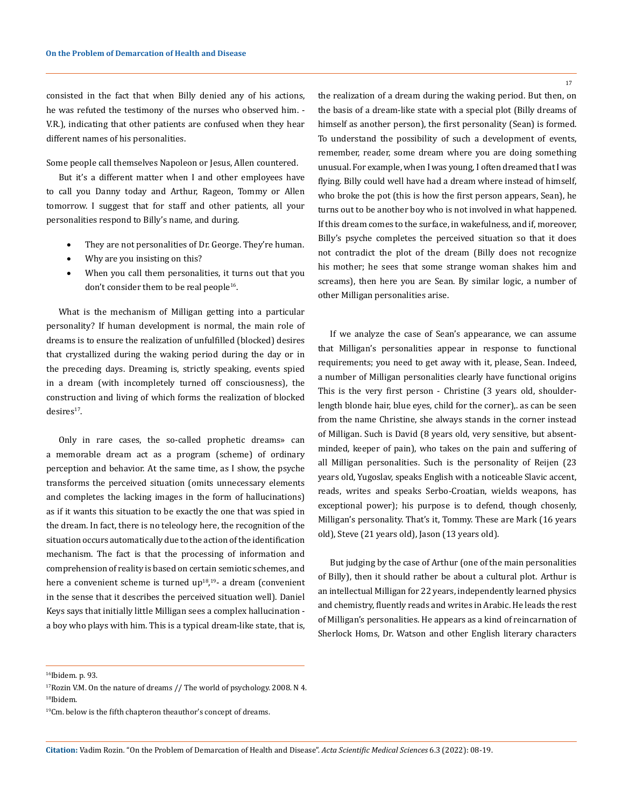consisted in the fact that when Billy denied any of his actions, he was refuted the testimony of the nurses who observed him. - V.R.), indicating that other patients are confused when they hear different names of his personalities.

Some people call themselves Napoleon or Jesus, Allen countered.

But it's a different matter when I and other employees have to call you Danny today and Arthur, Rageon, Tommy or Allen tomorrow. I suggest that for staff and other patients, all your personalities respond to Billy's name, and during.

- They are not personalities of Dr. George. They're human.
- Why are you insisting on this?
- When you call them personalities, it turns out that you don't consider them to be real people<sup>16</sup>.

What is the mechanism of Milligan getting into a particular personality? If human development is normal, the main role of dreams is to ensure the realization of unfulfilled (blocked) desires that crystallized during the waking period during the day or in the preceding days. Dreaming is, strictly speaking, events spied in a dream (with incompletely turned off consciousness), the construction and living of which forms the realization of blocked  $desires<sup>17</sup>.$ 

Only in rare cases, the so-called prophetic dreams» can a memorable dream act as a program (scheme) of ordinary perception and behavior. At the same time, as I show, the psyche transforms the perceived situation (omits unnecessary elements and completes the lacking images in the form of hallucinations) as if it wants this situation to be exactly the one that was spied in the dream. In fact, there is no teleology here, the recognition of the situation occurs automatically due to the action of the identification mechanism. The fact is that the processing of information and comprehension of reality is based on certain semiotic schemes, and here a convenient scheme is turned up<sup>18</sup>,<sup>19</sup>- a dream (convenient in the sense that it describes the perceived situation well). Daniel Keys says that initially little Milligan sees a complex hallucination a boy who plays with him. This is a typical dream-like state, that is,

the realization of a dream during the waking period. But then, on the basis of a dream-like state with a special plot (Billy dreams of himself as another person), the first personality (Sean) is formed. To understand the possibility of such a development of events, remember, reader, some dream where you are doing something unusual. For example, when I was young, I often dreamed that I was flying. Billy could well have had a dream where instead of himself, who broke the pot (this is how the first person appears, Sean), he turns out to be another boy who is not involved in what happened. If this dream comes to the surface, in wakefulness, and if, moreover, Billy's psyche completes the perceived situation so that it does not contradict the plot of the dream (Billy does not recognize his mother; he sees that some strange woman shakes him and screams), then here you are Sean. By similar logic, a number of other Milligan personalities arise.

If we analyze the case of Sean's appearance, we can assume that Milligan's personalities appear in response to functional requirements; you need to get away with it, please, Sean. Indeed, a number of Milligan personalities clearly have functional origins This is the very first person - Christine (3 years old, shoulderlength blonde hair, blue eyes, child for the corner), as can be seen from the name Christine, she always stands in the corner instead of Milligan. Such is David (8 years old, very sensitive, but absentminded, keeper of pain), who takes on the pain and suffering of all Milligan personalities. Such is the personality of Reijen (23 years old, Yugoslav, speaks English with a noticeable Slavic accent, reads, writes and speaks Serbo-Croatian, wields weapons, has exceptional power); his purpose is to defend, though chosenly, Milligan's personality. That's it, Tommy. These are Mark (16 years old), Steve (21 years old), Jason (13 years old).

But judging by the case of Arthur (one of the main personalities of Billy), then it should rather be about a cultural plot. Arthur is an intellectual Milligan for 22 years, independently learned physics and chemistry, fluently reads and writes in Arabic. He leads the rest of Milligan's personalities. He appears as a kind of reincarnation of Sherlock Homs, Dr. Watson and other English literary characters

<sup>&</sup>lt;sup>16</sup>Ibidem. p. 93.

<sup>&</sup>lt;sup>17</sup>Rozin V.M. On the nature of dreams // The world of psychology. 2008. N 4. 18Ibidem.

 $19$ Cm. below is the fifth chapteron theauthor's concept of dreams.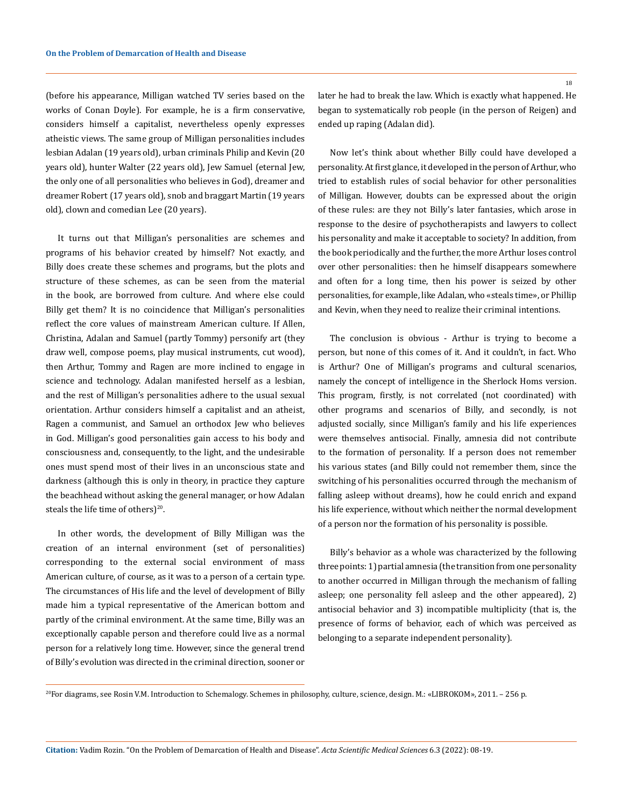(before his appearance, Milligan watched TV series based on the works of Conan Doyle). For example, he is a firm conservative, considers himself a capitalist, nevertheless openly expresses atheistic views. The same group of Milligan personalities includes lesbian Adalan (19 years old), urban criminals Philip and Kevin (20 years old), hunter Walter (22 years old), Jew Samuel (eternal Jew, the only one of all personalities who believes in God), dreamer and dreamer Robert (17 years old), snob and braggart Martin (19 years old), clown and comedian Lee (20 years).

It turns out that Milligan's personalities are schemes and programs of his behavior created by himself? Not exactly, and Billy does create these schemes and programs, but the plots and structure of these schemes, as can be seen from the material in the book, are borrowed from culture. And where else could Billy get them? It is no coincidence that Milligan's personalities reflect the core values of mainstream American culture. If Allen, Christina, Adalan and Samuel (partly Tommy) personify art (they draw well, compose poems, play musical instruments, cut wood), then Arthur, Tommy and Ragen are more inclined to engage in science and technology. Adalan manifested herself as a lesbian, and the rest of Milligan's personalities adhere to the usual sexual orientation. Arthur considers himself a capitalist and an atheist, Ragen a communist, and Samuel an orthodox Jew who believes in God. Milligan's good personalities gain access to his body and consciousness and, consequently, to the light, and the undesirable ones must spend most of their lives in an unconscious state and darkness (although this is only in theory, in practice they capture the beachhead without asking the general manager, or how Adalan steals the life time of others) $20$ .

In other words, the development of Billy Milligan was the creation of an internal environment (set of personalities) corresponding to the external social environment of mass American culture, of course, as it was to a person of a certain type. The circumstances of His life and the level of development of Billy made him a typical representative of the American bottom and partly of the criminal environment. At the same time, Billy was an exceptionally capable person and therefore could live as a normal person for a relatively long time. However, since the general trend of Billy's evolution was directed in the criminal direction, sooner or

later he had to break the law. Which is exactly what happened. He began to systematically rob people (in the person of Reigen) and ended up raping (Adalan did).

Now let's think about whether Billy could have developed a personality. At first glance, it developed in the person of Arthur, who tried to establish rules of social behavior for other personalities of Milligan. However, doubts can be expressed about the origin of these rules: are they not Billy's later fantasies, which arose in response to the desire of psychotherapists and lawyers to collect his personality and make it acceptable to society? In addition, from the book periodically and the further, the more Arthur loses control over other personalities: then he himself disappears somewhere and often for a long time, then his power is seized by other personalities, for example, like Adalan, who «steals time», or Phillip and Kevin, when they need to realize their criminal intentions.

The conclusion is obvious - Arthur is trying to become a person, but none of this comes of it. And it couldn't, in fact. Who is Arthur? One of Milligan's programs and cultural scenarios, namely the concept of intelligence in the Sherlock Homs version. This program, firstly, is not correlated (not coordinated) with other programs and scenarios of Billy, and secondly, is not adjusted socially, since Milligan's family and his life experiences were themselves antisocial. Finally, amnesia did not contribute to the formation of personality. If a person does not remember his various states (and Billy could not remember them, since the switching of his personalities occurred through the mechanism of falling asleep without dreams), how he could enrich and expand his life experience, without which neither the normal development of a person nor the formation of his personality is possible.

Billy's behavior as a whole was characterized by the following three points: 1) partial amnesia (the transition from one personality to another occurred in Milligan through the mechanism of falling asleep; one personality fell asleep and the other appeared), 2) antisocial behavior and 3) incompatible multiplicity (that is, the presence of forms of behavior, each of which was perceived as belonging to a separate independent personality).

18

<sup>20</sup>For diagrams, see Rosin V.M. Introduction to Schemalogy. Schemes in philosophy, culture, science, design. M.: «LIBROKOM», 2011. – 256 p.